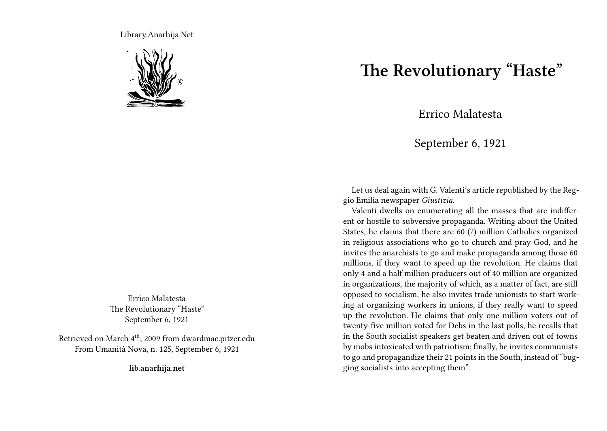Library.Anarhija.Net



Errico Malatesta The Revolutionary "Haste" September 6, 1921

Retrieved on March  $4<sup>th</sup>$ , 2009 from dwardmac.pitzer.edu From Umanità Nova, n. 125, September 6, 1921

**lib.anarhija.net**

## **The Revolutionary "Haste"**

Errico Malatesta

September 6, 1921

Let us deal again with G. Valenti's article republished by the Reggio Emilia newspaper *Giustizia*.

Valenti dwells on enumerating all the masses that are indifferent or hostile to subversive propaganda. Writing about the United States, he claims that there are 60 (?) million Catholics organized in religious associations who go to church and pray God, and he invites the anarchists to go and make propaganda among those 60 millions, if they want to speed up the revolution. He claims that only 4 and a half million producers out of 40 million are organized in organizations, the majority of which, as a matter of fact, are still opposed to socialism; he also invites trade unionists to start working at organizing workers in unions, if they really want to speed up the revolution. He claims that only one million voters out of twenty-five million voted for Debs in the last polls, he recalls that in the South socialist speakers get beaten and driven out of towns by mobs intoxicated with patriotism; finally, he invites communists to go and propagandize their 21 points in the South, instead of "bugging socialists into accepting them".